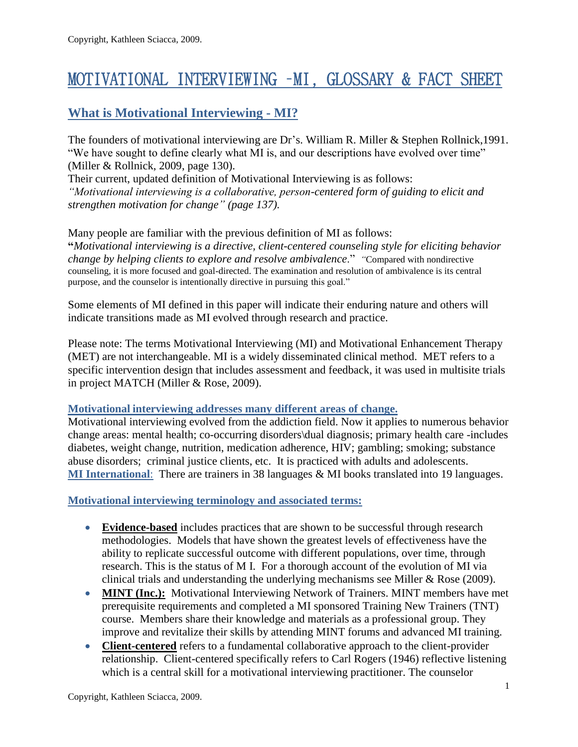# MOTIVATIONAL INTERVIEWING –MI, GLOSSARY & FACT SHEET

## **What is Motivational Interviewing - MI?**

The founders of motivational interviewing are Dr's. William R. Miller & Stephen Rollnick,1991. "We have sought to define clearly what MI is, and our descriptions have evolved over time" (Miller & Rollnick, 2009, page 130).

Their current, updated definition of Motivational Interviewing is as follows:

*"Motivational interviewing is a collaborative, person-centered form of guiding to elicit and strengthen motivation for change" (page 137).*

Many people are familiar with the previous definition of MI as follows: **"***Motivational interviewing is a directive, client-centered counseling style for eliciting behavior change by helping clients to explore and resolve ambivalence*." *"*Compared with nondirective counseling, it is more focused and goal-directed. The examination and resolution of ambivalence is its central purpose, and the counselor is intentionally directive in pursuing this goal."

Some elements of MI defined in this paper will indicate their enduring nature and others will indicate transitions made as MI evolved through research and practice.

Please note: The terms Motivational Interviewing (MI) and Motivational Enhancement Therapy (MET) are not interchangeable. MI is a widely disseminated clinical method. MET refers to a specific intervention design that includes assessment and feedback, it was used in multisite trials in project MATCH (Miller & Rose, 2009).

#### **Motivational interviewing addresses many different areas of change.**

Motivational interviewing evolved from the addiction field. Now it applies to numerous behavior change areas: mental health; co-occurring disorders\dual diagnosis; primary health care -includes diabetes, weight change, nutrition, medication adherence, HIV; gambling; smoking; substance abuse disorders; criminal justice clients, etc. It is practiced with adults and adolescents. **MI International**: There are trainers in 38 languages & MI books translated into 19 languages.

#### **Motivational interviewing terminology and associated terms:**

- **Evidence-based** includes practices that are shown to be successful through research methodologies. Models that have shown the greatest levels of effectiveness have the ability to replicate successful outcome with different populations, over time, through research. This is the status of M I. For a thorough account of the evolution of MI via clinical trials and understanding the underlying mechanisms see Miller & Rose (2009).
- **MINT** (Inc.): Motivational Interviewing Network of Trainers. MINT members have met prerequisite requirements and completed a MI sponsored Training New Trainers (TNT) course. Members share their knowledge and materials as a professional group. They improve and revitalize their skills by attending MINT forums and advanced MI training.
- **Client-centered** refers to a fundamental collaborative approach to the client-provider relationship. Client-centered specifically refers to Carl Rogers (1946) reflective listening which is a central skill for a motivational interviewing practitioner. The counselor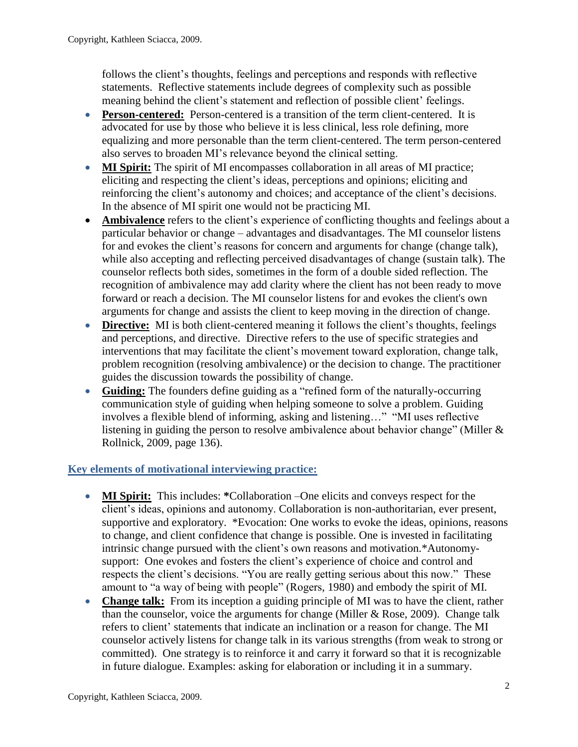follows the client's thoughts, feelings and perceptions and responds with reflective statements. Reflective statements include degrees of complexity such as possible meaning behind the client's statement and reflection of possible client' feelings.

- **Person-centered:** Person-centered is a transition of the term client-centered. It is advocated for use by those who believe it is less clinical, less role defining, more equalizing and more personable than the term client-centered. The term person-centered also serves to broaden MI's relevance beyond the clinical setting.
- **MI Spirit:** The spirit of MI encompasses collaboration in all areas of MI practice; eliciting and respecting the client's ideas, perceptions and opinions; eliciting and reinforcing the client's autonomy and choices; and acceptance of the client's decisions. In the absence of MI spirit one would not be practicing MI.
- **Ambivalence** refers to the client's experience of conflicting thoughts and feelings about a particular behavior or change – advantages and disadvantages. The MI counselor listens for and evokes the client's reasons for concern and arguments for change (change talk), while also accepting and reflecting perceived disadvantages of change (sustain talk). The counselor reflects both sides, sometimes in the form of a double sided reflection. The recognition of ambivalence may add clarity where the client has not been ready to move forward or reach a decision. The MI counselor listens for and evokes the client's own arguments for change and assists the client to keep moving in the direction of change.
- **Directive:** MI is both client-centered meaning it follows the client's thoughts, feelings and perceptions, and directive. Directive refers to the use of specific strategies and interventions that may facilitate the client's movement toward exploration, change talk, problem recognition (resolving ambivalence) or the decision to change. The practitioner guides the discussion towards the possibility of change.
- **Guiding:** The founders define guiding as a "refined form of the naturally-occurring communication style of guiding when helping someone to solve a problem. Guiding involves a flexible blend of informing, asking and listening…" "MI uses reflective listening in guiding the person to resolve ambivalence about behavior change" (Miller & Rollnick, 2009, page 136).

## **Key elements of motivational interviewing practice:**

- **MI Spirit:** This includes: **\***Collaboration –One elicits and conveys respect for the client's ideas, opinions and autonomy. Collaboration is non-authoritarian, ever present, supportive and exploratory. \*Evocation: One works to evoke the ideas, opinions, reasons to change, and client confidence that change is possible. One is invested in facilitating intrinsic change pursued with the client's own reasons and motivation.\*Autonomysupport: One evokes and fosters the client's experience of choice and control and respects the client's decisions. "You are really getting serious about this now." These amount to "a way of being with people" (Rogers, 1980) and embody the spirit of MI.
- Change talk: From its inception a guiding principle of MI was to have the client, rather than the counselor, voice the arguments for change (Miller  $& Rose, 2009$ ). Change talk refers to client' statements that indicate an inclination or a reason for change. The MI counselor actively listens for change talk in its various strengths (from weak to strong or committed). One strategy is to reinforce it and carry it forward so that it is recognizable in future dialogue. Examples: asking for elaboration or including it in a summary.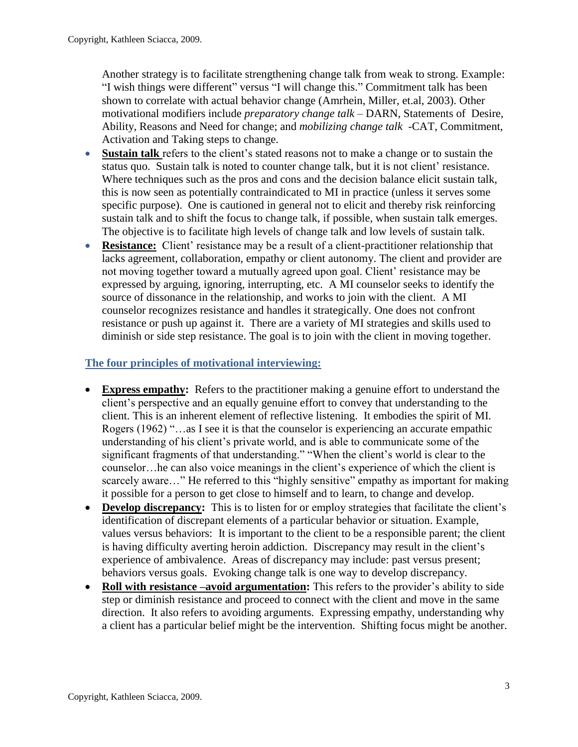Another strategy is to facilitate strengthening change talk from weak to strong. Example: "I wish things were different" versus "I will change this." Commitment talk has been shown to correlate with actual behavior change (Amrhein, Miller, et.al, 2003). Other motivational modifiers include *preparatory change talk* – DARN, Statements of Desire, Ability, Reasons and Need for change; and *mobilizing change talk* -CAT, Commitment, Activation and Taking steps to change.

- **Sustain talk** refers to the client's stated reasons not to make a change or to sustain the status quo. Sustain talk is noted to counter change talk, but it is not client' resistance. Where techniques such as the pros and cons and the decision balance elicit sustain talk, this is now seen as potentially contraindicated to MI in practice (unless it serves some specific purpose). One is cautioned in general not to elicit and thereby risk reinforcing sustain talk and to shift the focus to change talk, if possible, when sustain talk emerges. The objective is to facilitate high levels of change talk and low levels of sustain talk.
- **Resistance:** Client' resistance may be a result of a client-practitioner relationship that lacks agreement, collaboration, empathy or client autonomy. The client and provider are not moving together toward a mutually agreed upon goal. Client' resistance may be expressed by arguing, ignoring, interrupting, etc. A MI counselor seeks to identify the source of dissonance in the relationship, and works to join with the client. A MI counselor recognizes resistance and handles it strategically. One does not confront resistance or push up against it. There are a variety of MI strategies and skills used to diminish or side step resistance. The goal is to join with the client in moving together.

## **The four principles of motivational interviewing:**

- **Express empathy:** Refers to the practitioner making a genuine effort to understand the client's perspective and an equally genuine effort to convey that understanding to the client. This is an inherent element of reflective listening. It embodies the spirit of MI. Rogers (1962) "…as I see it is that the counselor is experiencing an accurate empathic understanding of his client's private world, and is able to communicate some of the significant fragments of that understanding." "When the client's world is clear to the counselor…he can also voice meanings in the client's experience of which the client is scarcely aware..." He referred to this "highly sensitive" empathy as important for making it possible for a person to get close to himself and to learn, to change and develop.
- **Develop discrepancy:** This is to listen for or employ strategies that facilitate the client's identification of discrepant elements of a particular behavior or situation. Example, values versus behaviors: It is important to the client to be a responsible parent; the client is having difficulty averting heroin addiction. Discrepancy may result in the client's experience of ambivalence. Areas of discrepancy may include: past versus present; behaviors versus goals. Evoking change talk is one way to develop discrepancy.
- **Roll with resistance –avoid argumentation:** This refers to the provider's ability to side step or diminish resistance and proceed to connect with the client and move in the same direction. It also refers to avoiding arguments. Expressing empathy, understanding why a client has a particular belief might be the intervention. Shifting focus might be another.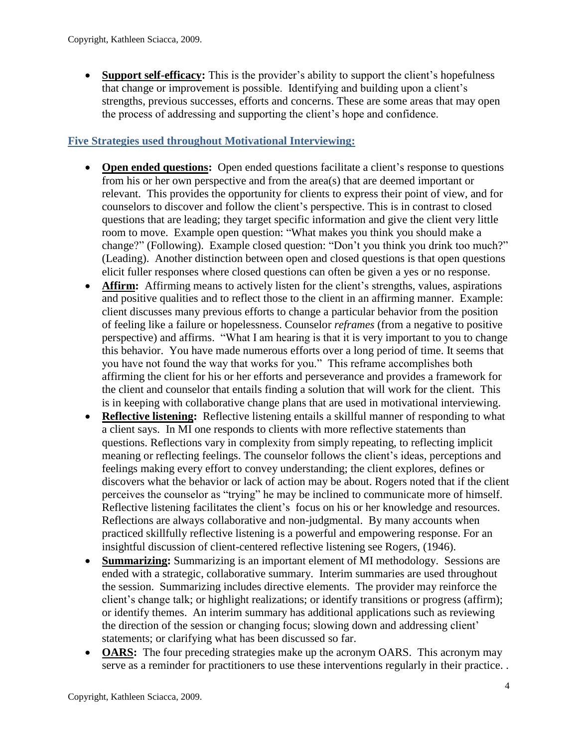**Support self-efficacy:** This is the provider's ability to support the client's hopefulness that change or improvement is possible. Identifying and building upon a client's strengths, previous successes, efforts and concerns. These are some areas that may open the process of addressing and supporting the client's hope and confidence.

#### **Five Strategies used throughout Motivational Interviewing:**

- **Open ended questions:** Open ended questions facilitate a client's response to questions from his or her own perspective and from the area(s) that are deemed important or relevant. This provides the opportunity for clients to express their point of view, and for counselors to discover and follow the client's perspective. This is in contrast to closed questions that are leading; they target specific information and give the client very little room to move. Example open question: "What makes you think you should make a change?" (Following). Example closed question: "Don't you think you drink too much?" (Leading). Another distinction between open and closed questions is that open questions elicit fuller responses where closed questions can often be given a yes or no response.
- **Affirm:** Affirming means to actively listen for the client's strengths, values, aspirations and positive qualities and to reflect those to the client in an affirming manner. Example: client discusses many previous efforts to change a particular behavior from the position of feeling like a failure or hopelessness. Counselor *reframes* (from a negative to positive perspective) and affirms. "What I am hearing is that it is very important to you to change this behavior. You have made numerous efforts over a long period of time. It seems that you have not found the way that works for you." This reframe accomplishes both affirming the client for his or her efforts and perseverance and provides a framework for the client and counselor that entails finding a solution that will work for the client. This is in keeping with collaborative change plans that are used in motivational interviewing.
- **Reflective listening:** Reflective listening entails a skillful manner of responding to what a client says. In MI one responds to clients with more reflective statements than questions. Reflections vary in complexity from simply repeating, to reflecting implicit meaning or reflecting feelings. The counselor follows the client's ideas, perceptions and feelings making every effort to convey understanding; the client explores, defines or discovers what the behavior or lack of action may be about. Rogers noted that if the client perceives the counselor as "trying" he may be inclined to communicate more of himself. Reflective listening facilitates the client's focus on his or her knowledge and resources. Reflections are always collaborative and non-judgmental. By many accounts when practiced skillfully reflective listening is a powerful and empowering response. For an insightful discussion of client-centered reflective listening see Rogers, (1946).
- **Summarizing:** Summarizing is an important element of MI methodology. Sessions are ended with a strategic, collaborative summary. Interim summaries are used throughout the session. Summarizing includes directive elements. The provider may reinforce the client's change talk; or highlight realizations; or identify transitions or progress (affirm); or identify themes. An interim summary has additional applications such as reviewing the direction of the session or changing focus; slowing down and addressing client' statements; or clarifying what has been discussed so far.
- **OARS:** The four preceding strategies make up the acronym OARS. This acronym may serve as a reminder for practitioners to use these interventions regularly in their practice. .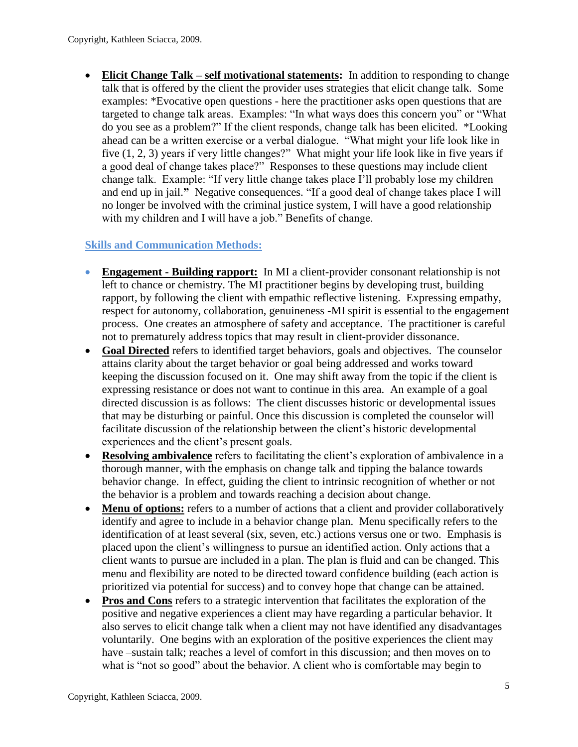**Elicit Change Talk – self motivational statements:** In addition to responding to change talk that is offered by the client the provider uses strategies that elicit change talk. Some examples: \*Evocative open questions - here the practitioner asks open questions that are targeted to change talk areas. Examples: "In what ways does this concern you" or "What do you see as a problem?" If the client responds, change talk has been elicited. \*Looking ahead can be a written exercise or a verbal dialogue. "What might your life look like in five (1, 2, 3) years if very little changes?" What might your life look like in five years if a good deal of change takes place?" Responses to these questions may include client change talk. Example: "If very little change takes place I'll probably lose my children and end up in jail.**"** Negative consequences. "If a good deal of change takes place I will no longer be involved with the criminal justice system, I will have a good relationship with my children and I will have a job." Benefits of change.

## **Skills and Communication Methods:**

- **Engagement - Building rapport:** In MI a client-provider consonant relationship is not left to chance or chemistry. The MI practitioner begins by developing trust, building rapport, by following the client with empathic reflective listening. Expressing empathy, respect for autonomy, collaboration, genuineness -MI spirit is essential to the engagement process. One creates an atmosphere of safety and acceptance. The practitioner is careful not to prematurely address topics that may result in client-provider dissonance.
- **Goal Directed** refers to identified target behaviors, goals and objectives. The counselor attains clarity about the target behavior or goal being addressed and works toward keeping the discussion focused on it. One may shift away from the topic if the client is expressing resistance or does not want to continue in this area. An example of a goal directed discussion is as follows: The client discusses historic or developmental issues that may be disturbing or painful. Once this discussion is completed the counselor will facilitate discussion of the relationship between the client's historic developmental experiences and the client's present goals.
- **Resolving ambivalence** refers to facilitating the client's exploration of ambivalence in a thorough manner, with the emphasis on change talk and tipping the balance towards behavior change. In effect, guiding the client to intrinsic recognition of whether or not the behavior is a problem and towards reaching a decision about change.
- Menu of options: refers to a number of actions that a client and provider collaboratively identify and agree to include in a behavior change plan. Menu specifically refers to the identification of at least several (six, seven, etc.) actions versus one or two. Emphasis is placed upon the client's willingness to pursue an identified action. Only actions that a client wants to pursue are included in a plan. The plan is fluid and can be changed. This menu and flexibility are noted to be directed toward confidence building (each action is prioritized via potential for success) and to convey hope that change can be attained.
- **Pros and Cons** refers to a strategic intervention that facilitates the exploration of the positive and negative experiences a client may have regarding a particular behavior. It also serves to elicit change talk when a client may not have identified any disadvantages voluntarily. One begins with an exploration of the positive experiences the client may have –sustain talk; reaches a level of comfort in this discussion; and then moves on to what is "not so good" about the behavior. A client who is comfortable may begin to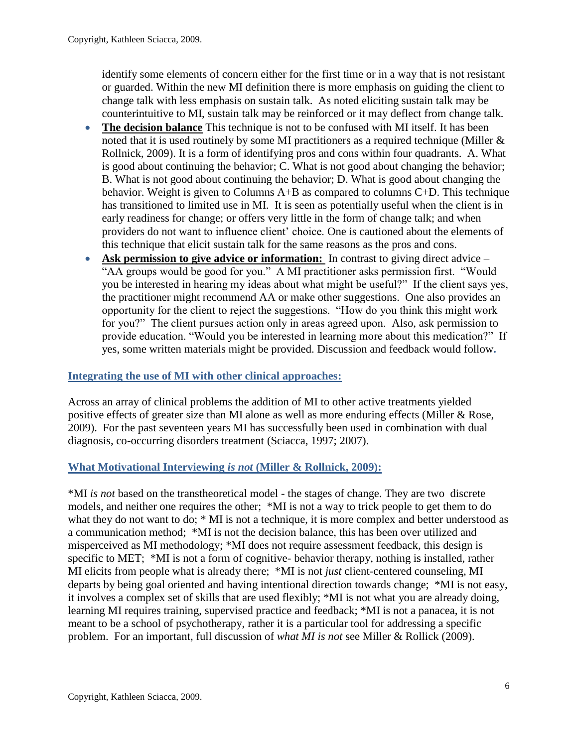identify some elements of concern either for the first time or in a way that is not resistant or guarded. Within the new MI definition there is more emphasis on guiding the client to change talk with less emphasis on sustain talk. As noted eliciting sustain talk may be counterintuitive to MI, sustain talk may be reinforced or it may deflect from change talk*.*

- **The decision balance** This technique is not to be confused with MI itself. It has been noted that it is used routinely by some MI practitioners as a required technique (Miller & Rollnick, 2009). It is a form of identifying pros and cons within four quadrants. A. What is good about continuing the behavior; C. What is not good about changing the behavior; B. What is not good about continuing the behavior; D. What is good about changing the behavior. Weight is given to Columns A+B as compared to columns C+D. This technique has transitioned to limited use in MI. It is seen as potentially useful when the client is in early readiness for change; or offers very little in the form of change talk; and when providers do not want to influence client' choice. One is cautioned about the elements of this technique that elicit sustain talk for the same reasons as the pros and cons.
- **Ask permission to give advice or information:** In contrast to giving direct advice "AA groups would be good for you." A MI practitioner asks permission first. "Would you be interested in hearing my ideas about what might be useful?" If the client says yes, the practitioner might recommend AA or make other suggestions. One also provides an opportunity for the client to reject the suggestions. "How do you think this might work for you?" The client pursues action only in areas agreed upon. Also, ask permission to provide education. "Would you be interested in learning more about this medication?" If yes, some written materials might be provided. Discussion and feedback would follow**.**

#### **Integrating the use of MI with other clinical approaches:**

Across an array of clinical problems the addition of MI to other active treatments yielded positive effects of greater size than MI alone as well as more enduring effects (Miller & Rose, 2009). For the past seventeen years MI has successfully been used in combination with dual diagnosis, co-occurring disorders treatment (Sciacca, 1997; 2007).

#### **What Motivational Interviewing** *is not* **(Miller & Rollnick, 2009):**

\*MI *is not* based on the transtheoretical model - the stages of change. They are two discrete models, and neither one requires the other; \*MI is not a way to trick people to get them to do what they do not want to do;  $*$  MI is not a technique, it is more complex and better understood as a communication method; \*MI is not the decision balance, this has been over utilized and misperceived as MI methodology; \*MI does not require assessment feedback, this design is specific to MET; \*MI is not a form of cognitive- behavior therapy, nothing is installed, rather MI elicits from people what is already there; \*MI is not *just* client-centered counseling, MI departs by being goal oriented and having intentional direction towards change; \*MI is not easy, it involves a complex set of skills that are used flexibly; \*MI is not what you are already doing, learning MI requires training, supervised practice and feedback; \*MI is not a panacea, it is not meant to be a school of psychotherapy, rather it is a particular tool for addressing a specific problem. For an important, full discussion of *what MI is not* see Miller & Rollick (2009).